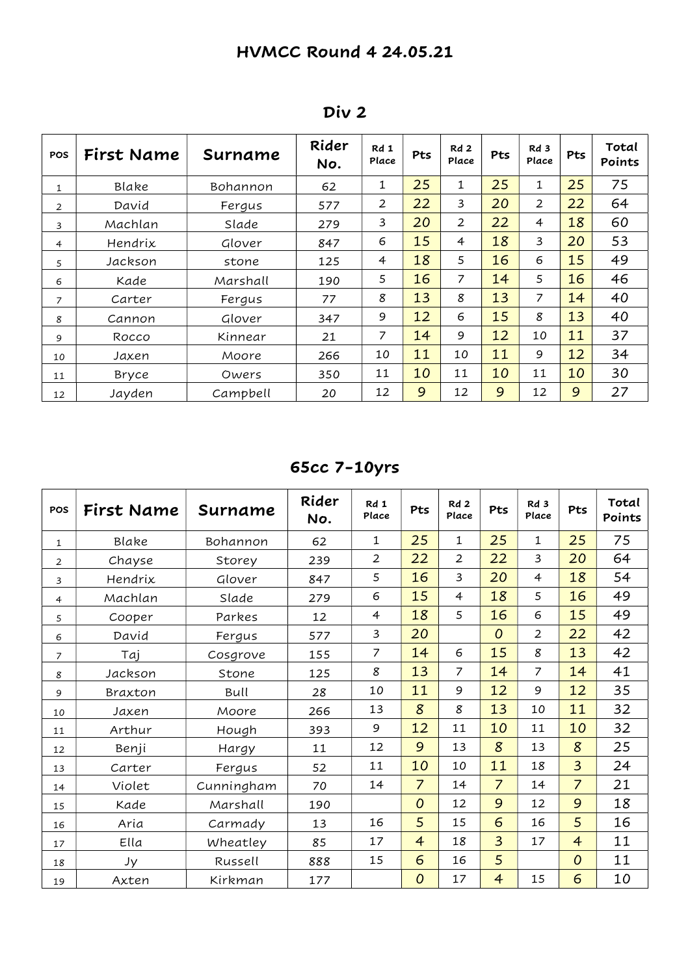| POS | First Name | Surname  | Rider<br>No. | Rd 1<br>Place  | Pts | Rd2<br>Place   | Pts | Rd 3<br>Place | Pts | Total<br>Points |
|-----|------------|----------|--------------|----------------|-----|----------------|-----|---------------|-----|-----------------|
| 1   | Blake      | Bohannon | 62           | 1              | 25  | 1              | 25  | 1             | 25  | 75              |
| 2   | David      | Fergus   | 577          | $\overline{2}$ | 22  | 3              | 20  | 2             | 22  | 64              |
| 3   | Machlan    | Slade    | 279          | 3              | 20  | 2              | 22  | 4             | 18  | 60              |
| 4   | Hendrix    | Glover   | 847          | 6              | 15  | $\overline{4}$ | 18  | 3             | 20  | 53              |
| 5   | Jackson    | stone    | 125          | 4              | 18  | 5              | 16  | 6             | 15  | 49              |
| 6   | Kade       | Marshall | 190          | 5              | 16  | 7              | 14  | 5             | 16  | 46              |
| 7   | Carter     | Fergus   | 77           | 8              | 13  | 8              | 13  | 7             | 14  | 40              |
| 8   | Cannon     | Glover   | 347          | 9              | 12  | 6              | 15  | 8             | 13  | 40              |
| 9   | Rocco      | Kinnear  | 21           | 7              | 14  | 9              | 12  | 10            | 11  | 37              |
| 10  | Jaxen      | Moore    | 266          | 10             | 11  | 10             | 11  | 9             | 12  | 34              |
| 11  | Bryce      | Owers    | 350          | 11             | 10  | 11             | 10  | 11            | 10  | 30              |
| 12  | Jayden     | Campbell | 20           | 12             | 9   | 12             | 9   | 12            | 9   | 27              |

Div 2

# 65cc 7-10yrs

| POS            | First Name | Surname    | Rider<br>No. | Rd 1<br>Place  | Pts            | Rd2<br>Place   | Pts            | Rd <sub>3</sub><br>Place | Pts            | Total<br>Points |
|----------------|------------|------------|--------------|----------------|----------------|----------------|----------------|--------------------------|----------------|-----------------|
| $\mathbf{1}$   | Blake      | Bohannon   | 62           | $\mathbf{1}$   | 25             | $\mathbf 1$    | 25             | $\mathbf{1}$             | 25             | 75              |
| $\overline{2}$ | Chayse     | Storey     | 239          | $\overline{2}$ | 22             | $\overline{2}$ | 22             | 3                        | 20             | 64              |
| 3              | Hendrix    | Glover     | 847          | 5              | 16             | $\overline{3}$ | 20             | $\overline{4}$           | 18             | 54              |
| $\overline{4}$ | Machlan    | Slade      | 279          | 6              | 15             | $\overline{4}$ | 18             | 5                        | 16             | 49              |
| 5              | Cooper     | Parkes     | 12           | $\overline{4}$ | 18             | 5              | 16             | 6                        | 15             | 49              |
| 6              | David      | Fergus     | 577          | 3              | 20             |                | $\overline{O}$ | $\overline{2}$           | 22             | 42              |
| $\overline{7}$ | Taj        | Cosgrove   | 155          | $\overline{7}$ | 14             | 6              | 15             | 8                        | 13             | 42              |
| 8              | Jackson    | Stone      | 125          | 8              | 13             | $\overline{7}$ | 14             | $\overline{z}$           | 14             | 41              |
| 9              | Braxton    | Bull       | 28           | 10             | 11             | 9              | 12             | 9                        | 12             | 35              |
| 10             | Jaxen      | Moore      | 266          | 13             | 8              | 8              | 13             | 10                       | 11             | 32              |
| 11             | Arthur     | Hough      | 393          | 9              | 12             | 11             | 10             | 11                       | 10             | 32              |
| 12             | Benji      | Hargy      | 11           | 12             | 9              | 13             | 8              | 13                       | 8              | 25              |
| 13             | Carter     | Fergus     | 52           | 11             | 10             | 10             | 11             | 18                       | $\overline{3}$ | 24              |
| 14             | Violet     | Cunningham | 70           | 14             | $\overline{7}$ | 14             | $\overline{7}$ | 14                       | $\overline{7}$ | 21              |
| 15             | Kade       | Marshall   | 190          |                | 0              | 12             | 9              | 12                       | 9              | 18              |
| 16             | Aria       | Carmady    | 13           | 16             | 5              | 15             | 6              | 16                       | 5              | 16              |
| 17             | Ella       | Wheatley   | 85           | 17             | $\overline{4}$ | 18             | $\overline{3}$ | 17                       | $\overline{4}$ | 11              |
| 18             | Jy         | Russell    | 888          | 15             | 6              | 16             | 5              |                          | $\overline{O}$ | 11              |
| 19             | Axten      | Kirkman    | 177          |                | 0              | 17             | $\overline{4}$ | 15                       | 6              | 10              |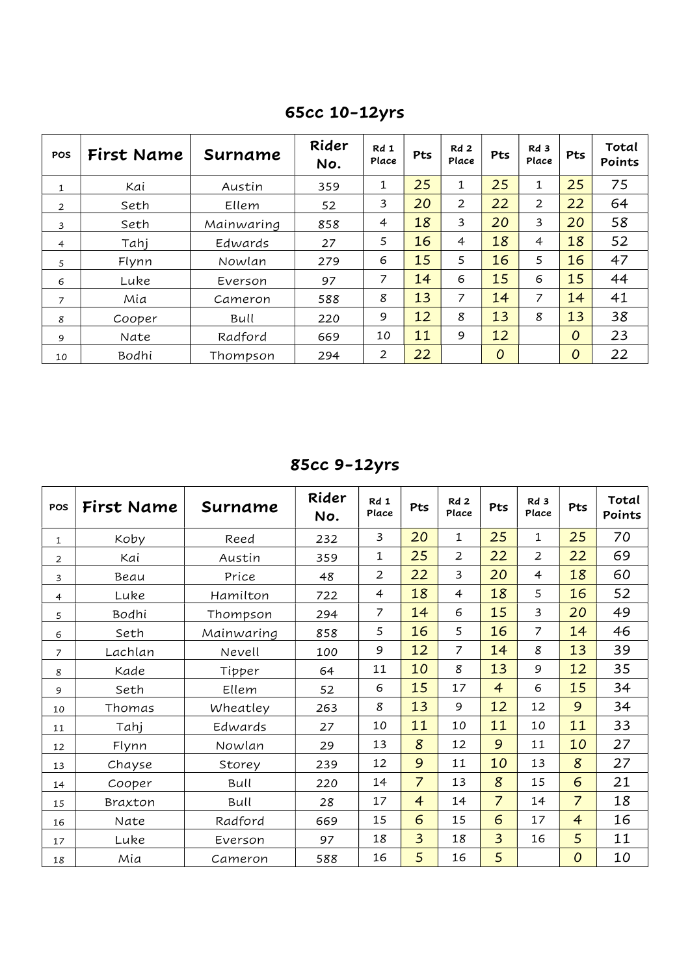| POS            | First Name | Surname    | Rider<br>No. | Rd 1<br>Place | Pts | Rd <sub>2</sub><br>Place | Pts            | Rd 3<br>Place | Pts | Total<br>Points |
|----------------|------------|------------|--------------|---------------|-----|--------------------------|----------------|---------------|-----|-----------------|
| $\mathbf{1}$   | Kai        | Austin     | 359          | 1             | 25  | 1                        | 25             | 1             | 25  | 75              |
| $\overline{2}$ | Seth       | Ellem      | 52           | 3             | 20  | $\overline{2}$           | 22             | 2             | 22  | 64              |
| 3              | Seth       | Mainwaring | 858          | 4             | 18  | 3                        | 20             | 3             | 20  | 58              |
| 4              | Tahj       | Edwards    | 27           | 5             | 16  | $\overline{4}$           | 18             | 4             | 18  | 52              |
| 5              | Flynn      | Nowlan     | 279          | 6             | 15  | 5                        | 16             | 5             | 16  | 47              |
| 6              | Luke       | Everson    | 97           | 7             | 14  | 6                        | 15             | 6             | 15  | 44              |
| 7              | Mia        | Cameron    | 588          | 8             | 13  | 7                        | 14             | 7             | 14  | 41              |
| 8              | Cooper     | Bull       | 220          | 9             | 12  | 8                        | 13             | 8             | 13  | 38              |
| 9              | Nate       | Radford    | 669          | 10            | 11  | 9                        | 12             |               | 0   | 23              |
| 10             | Bodhi      | Thompson   | 294          | 2             | 22  |                          | $\overline{O}$ |               | 0   | 22              |

65cc 10-12yrs

85cc 9-12yrs

| <b>POS</b>     | First Name | Surname    | Rider<br>No. | Rd 1<br>Place  | Pts            | Rd2<br>Place   | Pts            | Rd <sub>3</sub><br>Place | Pts            | Total<br>Points |
|----------------|------------|------------|--------------|----------------|----------------|----------------|----------------|--------------------------|----------------|-----------------|
| $\mathbf{1}$   | Koby       | Reed       | 232          | 3              | 20             | $\mathbf 1$    | 25             | 1                        | 25             | 70              |
| $\overline{2}$ | Kai        | Austin     | 359          | $\mathbf 1$    | 25             | $\overline{2}$ | 22             | $\overline{2}$           | 22             | 69              |
| 3              | Beau       | Price      | 48           | $\overline{2}$ | 22             | 3              | 20             | 4                        | 18             | 60              |
| $\overline{4}$ | Luke       | Hamilton   | 722          | $\overline{4}$ | 18             | $\overline{4}$ | 18             | 5                        | 16             | 52              |
| 5              | Bodhi      | Thompson   | 294          | 7              | 14             | 6              | 15             | 3                        | 20             | 49              |
| 6              | Seth       | Mainwaring | 858          | 5              | 16             | 5              | 16             | $\overline{7}$           | 14             | 46              |
| $\overline{7}$ | Lachlan    | Nevell     | 100          | 9              | 12             | $\overline{7}$ | 14             | 8                        | 13             | 39              |
| 8              | Kade       | Tipper     | 64           | 11             | 10             | 8              | 13             | 9                        | 12             | 35              |
| 9              | Seth       | Ellem      | 52           | 6              | 15             | 17             | $\overline{4}$ | 6                        | 15             | 34              |
| 10             | Thomas     | Wheatley   | 263          | 8              | 13             | 9              | 12             | 12                       | 9              | 34              |
| 11             | Tahj       | Edwards    | 27           | 10             | 11             | 10             | 11             | 10                       | 11             | 33              |
| 12             | Flynn      | Nowlan     | 29           | 13             | 8              | 12             | 9              | 11                       | 10             | 27              |
| 13             | Chayse     | Storey     | 239          | 12             | 9              | 11             | 10             | 13                       | 8              | 27              |
| 14             | Cooper     | Bull       | 220          | 14             | $\overline{7}$ | 13             | 8              | 15                       | 6              | 21              |
| 15             | Braxton    | Bull       | 28           | 17             | $\overline{4}$ | 14             | $\overline{7}$ | 14                       | $\overline{7}$ | 18              |
| 16             | Nate       | Radford    | 669          | 15             | 6              | 15             | 6              | 17                       | $\overline{4}$ | 16              |
| 17             | Luke       | Everson    | 97           | 18             | $\overline{3}$ | 18             | $\overline{3}$ | 16                       | 5              | 11              |
| 18             | Mia        | Cameron    | 588          | 16             | 5              | 16             | 5              |                          | $\overline{O}$ | 10              |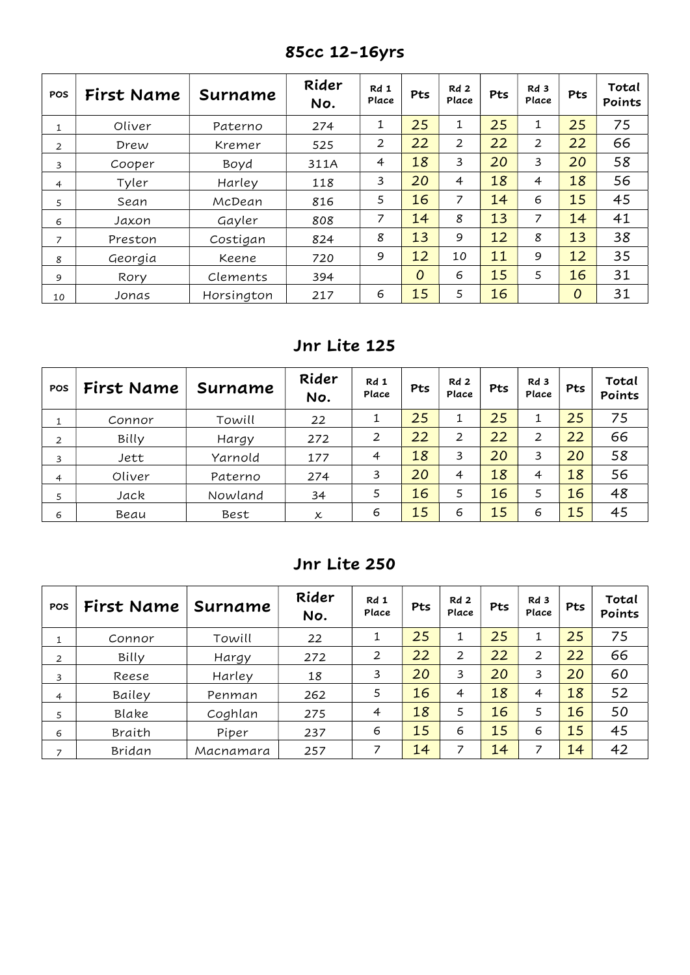| <b>POS</b>     | First Name | Surname    | Rider<br>No. | Rd 1<br>Place  | Pts            | Rd <sub>2</sub><br>Place | Pts | Rd 3<br>Place  | Pts            | Total<br>Points |
|----------------|------------|------------|--------------|----------------|----------------|--------------------------|-----|----------------|----------------|-----------------|
| 1              | Oliver     | Paterno    | 274          | 1              | 25             | 1                        | 25  | 1              | 25             | 75              |
| $\overline{2}$ | Drew       | Kremer     | 525          | $\overline{2}$ | 22             | 2                        | 22  | $\overline{2}$ | 22             | 66              |
| 3              | Cooper     | Boyd       | 311A         | $\overline{4}$ | 18             | 3                        | 20  | 3              | 20             | 58              |
| $\overline{4}$ | Tyler      | Harley     | 118          | 3              | 20             | $\overline{4}$           | 18  | $\overline{4}$ | 18             | 56              |
| 5              | Sean       | McDean     | 816          | 5              | 16             | 7                        | 14  | 6              | 15             | 45              |
| 6              | Jaxon      | Gayler     | 808          | 7              | 14             | 8                        | 13  | 7              | 14             | 41              |
| 7              | Preston    | Costigan   | 824          | 8              | 13             | 9                        | 12  | 8              | 13             | 38              |
| 8              | Georgia    | Keene      | 720          | 9              | 12             | 10                       | 11  | 9              | 12             | 35              |
| 9              | Rory       | Clements   | 394          |                | $\overline{O}$ | 6                        | 15  | 5              | 16             | 31              |
| 10             | Jonas      | Horsington | 217          | 6              | 15             | 5                        | 16  |                | $\overline{O}$ | 31              |

85cc 12-16yrs

### Jnr Lite 125

| <b>POS</b>     | First Name | Surname | Rider<br>No. | Rd 1<br>Place | Pts | Rd 2<br>Place | Pts | Rd <sub>3</sub><br>Place | Pts | Total<br>Points |
|----------------|------------|---------|--------------|---------------|-----|---------------|-----|--------------------------|-----|-----------------|
|                | Connor     | Towill  | 22           |               | 25  | 1             | 25  | 1                        | 25  | 75              |
| 2              | Billy      | Hargy   | 272          | 2             | 22  | 2             | 22  | 2                        | 22  | 66              |
| 3              | Jett       | Yarnold | 177          | 4             | 18  | 3             | 20  | 3                        | 20  | 58              |
| $\overline{4}$ | Oliver     | Paterno | 274          | 3             | 20  | 4             | 18  | 4                        | 18  | 56              |
| 5              | Jack       | Nowland | 34           |               | 16  | 5             | 16  | 5                        | 16  | 48              |
| 6              | Beau       | Best    | x            | 6             | 15  | 6             | 15  | 6                        | 15  | 45              |

### Jnr Lite 250

| <b>POS</b> | First Name | Surname   | Rider<br>No. | Rd 1<br>Place  | Pts | Rd 2<br>Place | Pts | Rd 3<br>Place | <b>Pts</b> | Total<br>Points |
|------------|------------|-----------|--------------|----------------|-----|---------------|-----|---------------|------------|-----------------|
|            | Connor     | Towill    | 22           | 1              | 25  | 1             | 25  |               | 25         | 75              |
| 2          | Billy      | Hargy     | 272          | 2              | 22  | 2             | 22  | 2             | 22         | 66              |
| 3          | Reese      | Harley    | 18           | 3              | 20  | 3             | 20  | 3             | 20         | 60              |
| 4          | Bailey     | Penman    | 262          | 5              | 16  | 4             | 18  | 4             | 18         | 52              |
| 5          | Blake      | Coghlan   | 275          | $\overline{4}$ | 18  | 5             | 16  | 5             | 16         | 50              |
| 6          | Braith     | Piper     | 237          | 6              | 15  | 6             | 15  | 6             | 15         | 45              |
| 7          | Bridan     | Macnamara | 257          | 7              | 14  | 7             | 14  | 7             | 14         | 42              |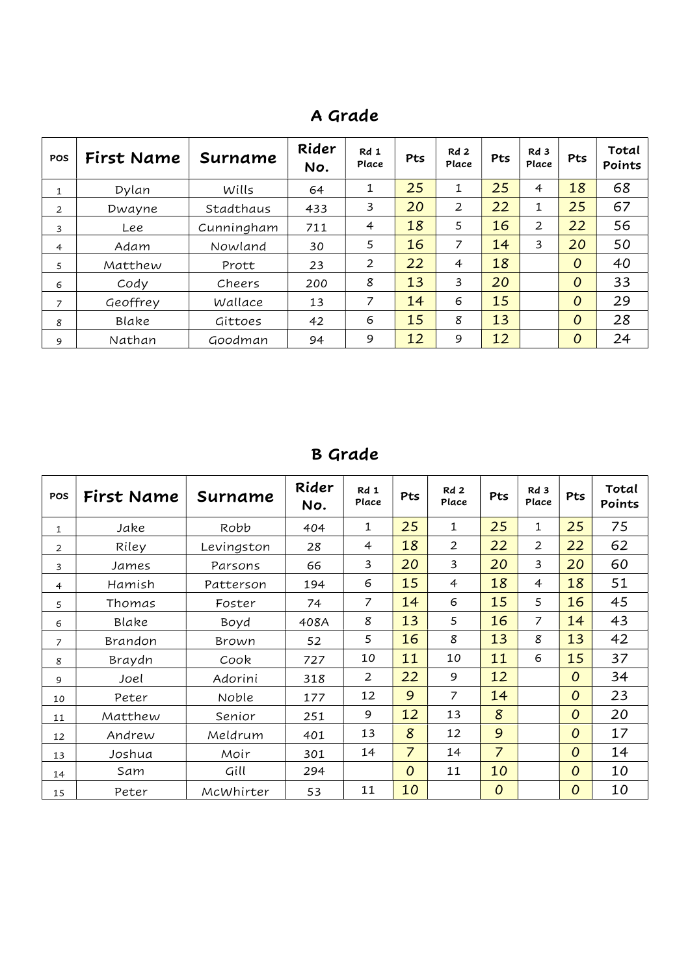| <b>POS</b>     | First Name | Surname    | Rider<br>No. | Rd 1<br>Place  | Pts | Rd <sub>2</sub><br>Place | Pts | Rd 3<br>Place | Pts | Total<br>Points |
|----------------|------------|------------|--------------|----------------|-----|--------------------------|-----|---------------|-----|-----------------|
| $\mathbf{1}$   | Dylan      | Wills      | 64           | 1              | 25  | 1                        | 25  | 4             | 18  | 68              |
| $\overline{2}$ | Dwayne     | Stadthaus  | 433          | 3              | 20  | 2                        | 22  | 1             | 25  | 67              |
| 3              | Lee        | Cunningham | 711          | $\overline{4}$ | 18  | 5                        | 16  | 2             | 22  | 56              |
| $\overline{4}$ | Adam       | Nowland    | 30           | 5              | 16  | 7                        | 14  | 3             | 20  | 50              |
| 5              | Matthew    | Prott      | 23           | $\overline{2}$ | 22  | $\overline{4}$           | 18  |               | 0   | 40              |
| 6              | Cody       | Cheers     | 200          | 8              | 13  | 3                        | 20  |               | 0   | 33              |
| 7              | Geoffrey   | Wallace    | 13           | 7              | 14  | 6                        | 15  |               | 0   | 29              |
| 8              | Blake      | Gittoes    | 42           | 6              | 15  | 8                        | 13  |               | 0   | 28              |
| 9              | Nathan     | Goodman    | 94           | 9              | 12  | 9                        | 12  |               | 0   | 24              |

# A Grade

# B Grade

| <b>POS</b>     | First Name | Surname      | Rider<br>No. | Rd 1<br>Place  | Pts            | Rd <sub>2</sub><br>Place | Pts            | Rd <sub>3</sub><br>Place | Pts            | Total<br>Points |
|----------------|------------|--------------|--------------|----------------|----------------|--------------------------|----------------|--------------------------|----------------|-----------------|
| 1              | Jake       | Robb         | 404          | 1              | 25             | 1                        | 25             | 1                        | 25             | 75              |
| $\overline{2}$ | Riley      | Levingston   | 28           | 4              | 18             | 2                        | 22             | $\overline{2}$           | 22             | 62              |
| 3              | James      | Parsons      | 66           | 3              | 20             | 3                        | 20             | 3                        | 20             | 60              |
| $\overline{4}$ | Hamish     | Patterson    | 194          | 6              | 15             | $\overline{4}$           | 18             | 4                        | 18             | 51              |
| 5              | Thomas     | Foster       | 74           | 7              | 14             | 6                        | 15             | 5                        | 16             | 45              |
| 6              | Blake      | Boyd         | 408A         | 8              | 13             | 5                        | 16             | 7                        | 14             | 43              |
| $\overline{7}$ | Brandon    | <b>Brown</b> | 52           | 5              | 16             | 8                        | 13             | 8                        | 13             | 42              |
| 8              | Braydn     | Cook         | 727          | 10             | 11             | 10                       | 11             | 6                        | 15             | 37              |
| 9              | Joel       | Adorini      | 318          | $\overline{2}$ | 22             | 9                        | 12             |                          | $\overline{O}$ | 34              |
| 10             | Peter      | Noble        | 177          | 12             | 9              | 7                        | 14             |                          | $\overline{O}$ | 23              |
| 11             | Matthew    | Senior       | 251          | 9              | 12             | 13                       | 8              |                          | $\overline{O}$ | 20              |
| 12             | Andrew     | Meldrum      | 401          | 13             | 8              | 12                       | 9              |                          | $\overline{O}$ | 17              |
| 13             | Joshua     | Moir         | 301          | 14             | $\overline{7}$ | 14                       | $\overline{7}$ |                          | $\overline{O}$ | 14              |
| 14             | Sam        | Gill         | 294          |                | $\overline{O}$ | 11                       | 10             |                          | $\overline{O}$ | 10              |
| 15             | Peter      | McWhirter    | 53           | 11             | 10             |                          | 0              |                          | $\overline{O}$ | 10              |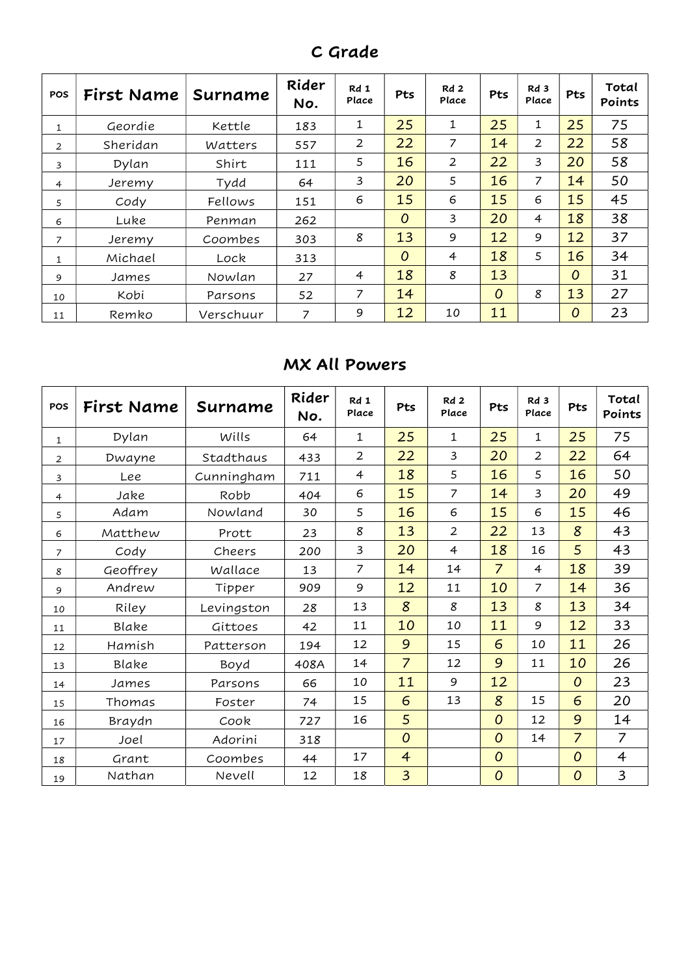| C Grade |
|---------|
|---------|

| <b>POS</b>     | First Name | Surname   | Rider<br>No. | Rd 1<br>Place  | Pts            | Rd <sub>2</sub><br>Place | Pts            | Rd 3<br>Place  | Pts            | Total<br>Points |
|----------------|------------|-----------|--------------|----------------|----------------|--------------------------|----------------|----------------|----------------|-----------------|
| 1              | Geordie    | Kettle    | 183          | 1              | 25             | 1                        | 25             | 1              | 25             | 75              |
| 2              | Sheridan   | Watters   | 557          | $\overline{2}$ | 22             | 7                        | 14             | $\overline{2}$ | 22             | 58              |
| 3              | Dylan      | Shirt     | 111          | 5              | 16             | $\overline{2}$           | 22             | 3              | 20             | 58              |
| 4              | Jeremv     | Tydd      | 64           | 3              | 20             | 5                        | 16             | $\overline{7}$ | 14             | 50              |
| 5              | Cody       | Fellows   | 151          | 6              | 15             | 6                        | 15             | 6              | 15             | 45              |
| 6              | Luke       | Penman    | 262          |                | $\overline{O}$ | 3                        | 20             | 4              | 18             | 38              |
| $\overline{z}$ | Jeremy     | Coombes   | 303          | 8              | 13             | 9                        | 12             | 9              | 12             | 37              |
| 1              | Michael    | Lock      | 313          |                | $\overline{O}$ | $\overline{4}$           | 18             | 5              | 16             | 34              |
| 9              | James      | Nowlan    | 27           | $\overline{4}$ | 18             | 8                        | 13             |                | $\overline{O}$ | 31              |
| 10             | Kobi       | Parsons   | 52           | 7              | 14             |                          | $\overline{O}$ | 8              | 13             | 27              |
| 11             | Remko      | Verschuur | 7            | 9              | 12             | 10                       | 11             |                | 0              | 23              |

### MX All Powers

| <b>POS</b>     | First Name | Surname    | Rider<br>No. | Rd 1<br>Place  | Pts            | Rd2<br>Place   | Pts            | Rd <sub>3</sub><br>Place | Pts            | Total<br>Points |
|----------------|------------|------------|--------------|----------------|----------------|----------------|----------------|--------------------------|----------------|-----------------|
| 1              | Dylan      | Wills      | 64           | $\mathbf{1}$   | 25             | $\mathbf{1}$   | 25             | $\mathbf{1}$             | 25             | 75              |
| $\overline{2}$ | Dwayne     | Stadthaus  | 433          | $\overline{2}$ | 22             | $\overline{3}$ | 20             | 2                        | 22             | 64              |
| 3              | Lee        | Cunningham | 711          | $\overline{4}$ | 18             | 5              | 16             | 5                        | 16             | 50              |
| $\overline{4}$ | Jake       | Robb       | 404          | 6              | 15             | $\overline{7}$ | 14             | 3                        | 20             | 49              |
| 5              | Adam       | Nowland    | 30           | 5              | 16             | 6              | 15             | 6                        | 15             | 46              |
| 6              | Matthew    | Prott      | 23           | 8              | 13             | $\overline{2}$ | 22             | 13                       | 8              | 43              |
| 7              | Cody       | Cheers     | 200          | 3              | 20             | $\overline{4}$ | 18             | 16                       | 5              | 43              |
| 8              | Geoffrey   | Wallace    | 13           | $\overline{7}$ | 14             | 14             | $\overline{7}$ | $\overline{4}$           | 18             | 39              |
| 9              | Andrew     | Tipper     | 909          | 9              | 12             | 11             | 10             | $\overline{7}$           | 14             | 36              |
| 10             | Riley      | Levingston | 28           | 13             | 8              | 8              | 13             | 8                        | 13             | 34              |
| 11             | Blake      | Gittoes    | 42           | 11             | 10             | 10             | 11             | 9                        | 12             | 33              |
| 12             | Hamish     | Patterson  | 194          | 12             | 9              | 15             | 6              | 10                       | 11             | 26              |
| 13             | Blake      | Boyd       | 408A         | 14             | $\overline{7}$ | 12             | 9              | 11                       | 10             | 26              |
| 14             | James      | Parsons    | 66           | 10             | 11             | 9              | 12             |                          | $\overline{O}$ | 23              |
| 15             | Thomas     | Foster     | 74           | 15             | 6              | 13             | 8              | 15                       | 6              | 20              |
| 16             | Braydn     | Cook       | 727          | 16             | 5              |                | 0              | 12                       | 9              | 14              |
| 17             | Joel       | Adorini    | 318          |                | $\overline{O}$ |                | $\overline{O}$ | 14                       | $\overline{7}$ | $\overline{7}$  |
| 18             | Grant      | Coombes    | 44           | 17             | $\overline{4}$ |                | 0              |                          | $\overline{O}$ | $\overline{4}$  |
| 19             | Nathan     | Nevell     | 12           | 18             | $\overline{3}$ |                | 0              |                          | $\overline{O}$ | 3               |